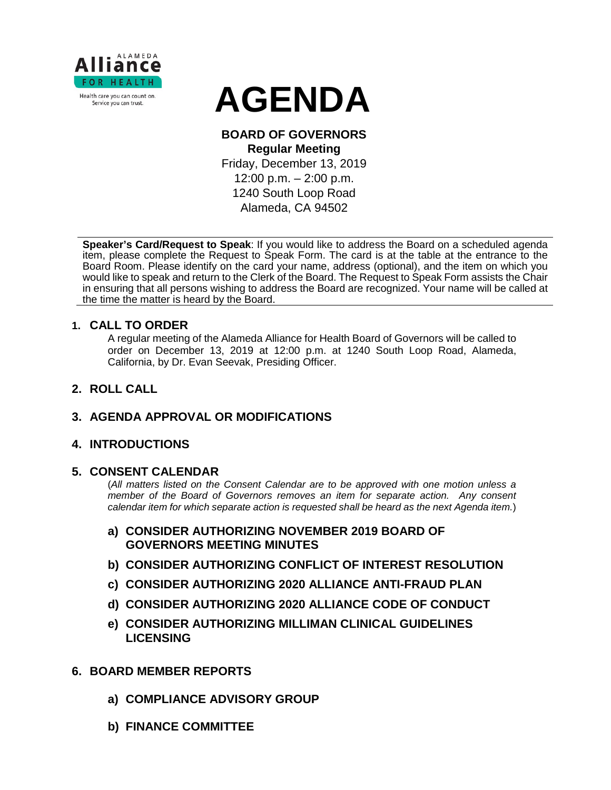

# **AGENDA**

## **BOARD OF GOVERNORS Regular Meeting**

Friday, December 13, 2019

12:00 p.m. – 2:00 p.m. 1240 South Loop Road Alameda, CA 94502

**Speaker's Card/Request to Speak**: If you would like to address the Board on a scheduled agenda item, please complete the Request to Speak Form. The card is at the table at the entrance to the Board Room. Please identify on the card your name, address (optional), and the item on which you would like to speak and return to the Clerk of the Board. The Request to Speak Form assists the Chair in ensuring that all persons wishing to address the Board are recognized. Your name will be called at the time the matter is heard by the Board.

## **1. CALL TO ORDER**

A regular meeting of the Alameda Alliance for Health Board of Governors will be called to order on December 13, 2019 at 12:00 p.m. at 1240 South Loop Road, Alameda, California, by Dr. Evan Seevak, Presiding Officer.

**2. ROLL CALL**

## **3. AGENDA APPROVAL OR MODIFICATIONS**

## **4. INTRODUCTIONS**

## **5. CONSENT CALENDAR**

(*All matters listed on the Consent Calendar are to be approved with one motion unless a member of the Board of Governors removes an item for separate action. Any consent calendar item for which separate action is requested shall be heard as the next Agenda item.*)

- **a) CONSIDER AUTHORIZING NOVEMBER 2019 BOARD OF GOVERNORS MEETING MINUTES**
- **b) CONSIDER AUTHORIZING CONFLICT OF INTEREST RESOLUTION**
- **c) CONSIDER AUTHORIZING 2020 ALLIANCE ANTI-FRAUD PLAN**
- **d) CONSIDER AUTHORIZING 2020 ALLIANCE CODE OF CONDUCT**
- **e) CONSIDER AUTHORIZING MILLIMAN CLINICAL GUIDELINES LICENSING**

## **6. BOARD MEMBER REPORTS**

- **a) COMPLIANCE ADVISORY GROUP**
- **b) FINANCE COMMITTEE**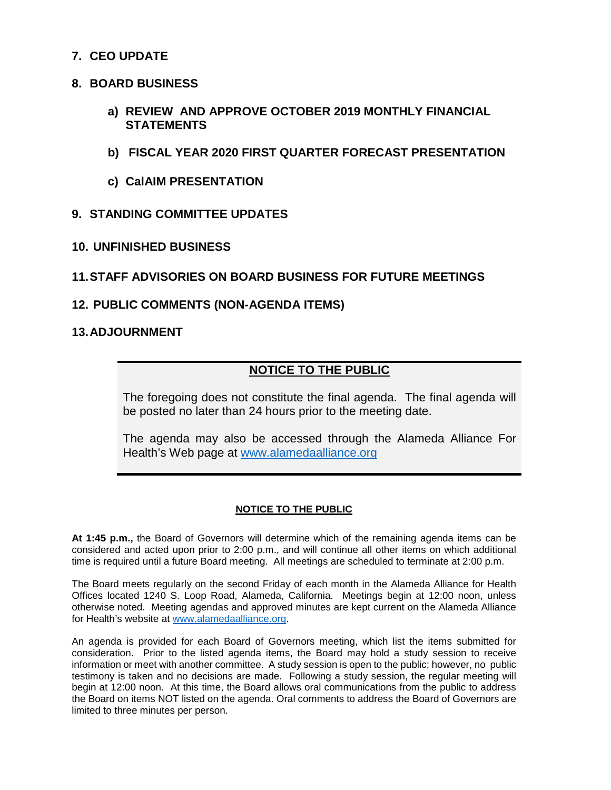## **7. CEO UPDATE**

#### **8. BOARD BUSINESS**

- **a) REVIEW AND APPROVE OCTOBER 2019 MONTHLY FINANCIAL STATEMENTS**
- **b) FISCAL YEAR 2020 FIRST QUARTER FORECAST PRESENTATION**
- **c) CalAIM PRESENTATION**

### **9. STANDING COMMITTEE UPDATES**

**10. UNFINISHED BUSINESS**

### **11.STAFF ADVISORIES ON BOARD BUSINESS FOR FUTURE MEETINGS**

#### **12. PUBLIC COMMENTS (NON-AGENDA ITEMS)**

#### **13.ADJOURNMENT**

## **NOTICE TO THE PUBLIC**

The foregoing does not constitute the final agenda. The final agenda will be posted no later than 24 hours prior to the meeting date.

The agenda may also be accessed through the Alameda Alliance For Health's Web page at [www.alamedaalliance.org](http://www.alamedaalliance.org/)

#### **NOTICE TO THE PUBLIC**

**At 1:45 p.m.,** the Board of Governors will determine which of the remaining agenda items can be considered and acted upon prior to 2:00 p.m., and will continue all other items on which additional time is required until a future Board meeting. All meetings are scheduled to terminate at 2:00 p.m.

The Board meets regularly on the second Friday of each month in the Alameda Alliance for Health Offices located 1240 S. Loop Road, Alameda, California. Meetings begin at 12:00 noon, unless otherwise noted. Meeting agendas and approved minutes are kept current on the Alameda Alliance for Health's website at [www.alamedaalliance.org.](http://www.alamedaalliance.org/)

An agenda is provided for each Board of Governors meeting, which list the items submitted for consideration. Prior to the listed agenda items, the Board may hold a study session to receive information or meet with another committee. A study session is open to the public; however, no public testimony is taken and no decisions are made. Following a study session, the regular meeting will begin at 12:00 noon. At this time, the Board allows oral communications from the public to address the Board on items NOT listed on the agenda. Oral comments to address the Board of Governors are limited to three minutes per person.